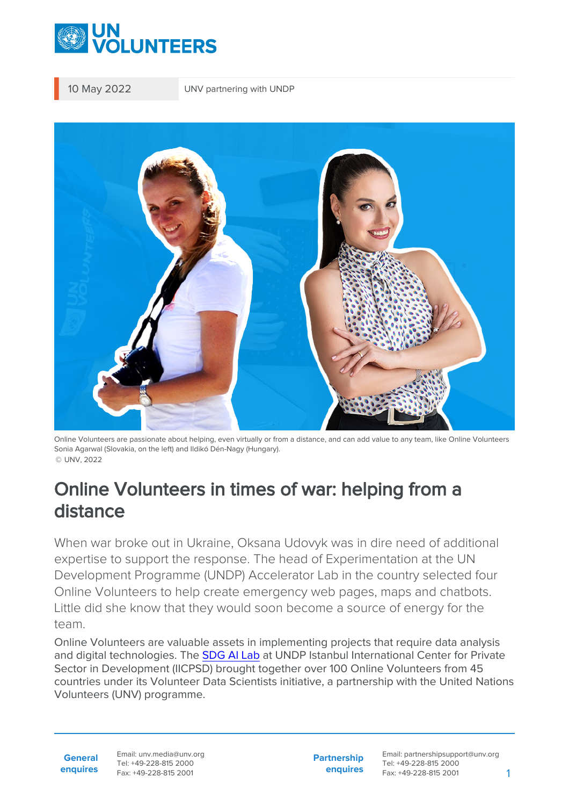

10 May 2022 UNV partnering with UNDP



Online Volunteers are passionate about helping, even virtually or from a distance, and can add value to any team, like Online Volunteers Sonia Agarwal (Slovakia, on the left) and Ildikó Dén-Nagy (Hungary). © UNV, 2022

# Online Volunteers in times of war: helping from a distance

When war broke out in Ukraine, Oksana Udovyk was in dire need of additional expertise to support the response. The head of Experimentation at the UN Development Programme (UNDP) Accelerator Lab in the country selected four Online Volunteers to help create emergency web pages, maps and chatbots. Little did she know that they would soon become a source of energy for the team.

Online Volunteers are valuable assets in implementing projects that require data analysis and digital technologies. The [SDG AI Lab](https://sdgailab.org/) at UNDP Istanbul International Center for Private Sector in Development (IICPSD) brought together over 100 Online Volunteers from 45 countries under its Volunteer Data Scientists initiative, a partnership with the United Nations Volunteers (UNV) programme.

**General enquires** Email: unv.media@unv.org Tel: +49-228-815 2000 Fax: +49-228-815 2001

**Partnership enquires**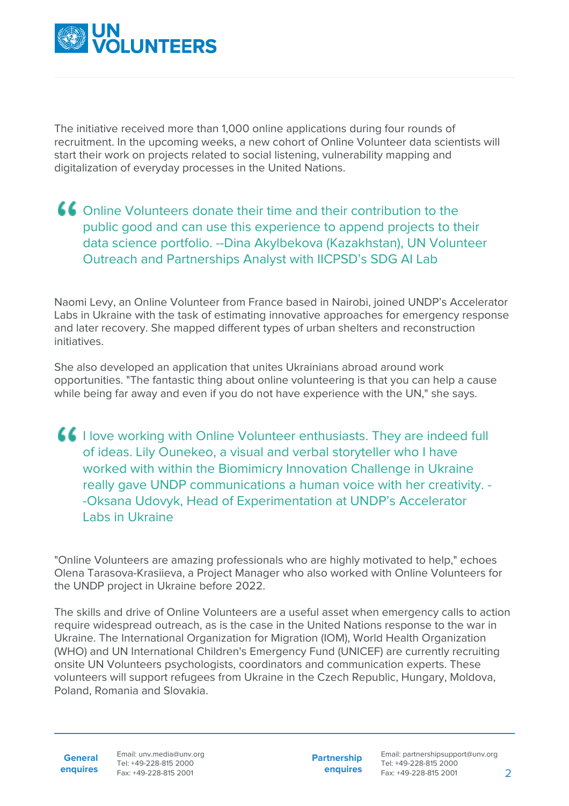

The initiative received more than 1,000 online applications during four rounds of recruitment. In the upcoming weeks, a new cohort of Online Volunteer data scientists will start their work on projects related to social listening, vulnerability mapping and digitalization of everyday processes in the United Nations.

## Online Volunteers donate their time and their contribution to the public good and can use this experience to append projects to their data science portfolio. --Dina Akylbekova (Kazakhstan), UN Volunteer Outreach and Partnerships Analyst with IICPSD's SDG AI Lab

Naomi Levy, an Online Volunteer from France based in Nairobi, joined UNDP's Accelerator Labs in Ukraine with the task of estimating innovative approaches for emergency response and later recovery. She mapped different types of urban shelters and reconstruction initiatives.

She also developed an application that unites Ukrainians abroad around work opportunities. "The fantastic thing about online volunteering is that you can help a cause while being far away and even if you do not have experience with the UN," she says.

**If** I love working with Online Volunteer enthusiasts. They are indeed full of ideas. Lily Ounekeo, a visual and verbal storyteller who I have worked with within the Biomimicry Innovation Challenge in Ukraine really gave UNDP communications a human voice with her creativity. - -Oksana Udovyk, Head of Experimentation at UNDP's Accelerator Labs in Ukraine

"Online Volunteers are amazing professionals who are highly motivated to help," echoes Olena Tarasova-Krasiieva, a Project Manager who also worked with Online Volunteers for the UNDP project in Ukraine before 2022.

The skills and drive of Online Volunteers are a useful asset when emergency calls to action require widespread outreach, as is the case in the United Nations response to the war in Ukraine. The International Organization for Migration (IOM), World Health Organization (WHO) and UN International Children's Emergency Fund (UNICEF) are currently recruiting onsite UN Volunteers psychologists, coordinators and communication experts. These volunteers will support refugees from Ukraine in the Czech Republic, Hungary, Moldova, Poland, Romania and Slovakia.

**General enquires** Email: unv.media@unv.org Tel: +49-228-815 2000 Fax: +49-228-815 2001

**Partnership enquires**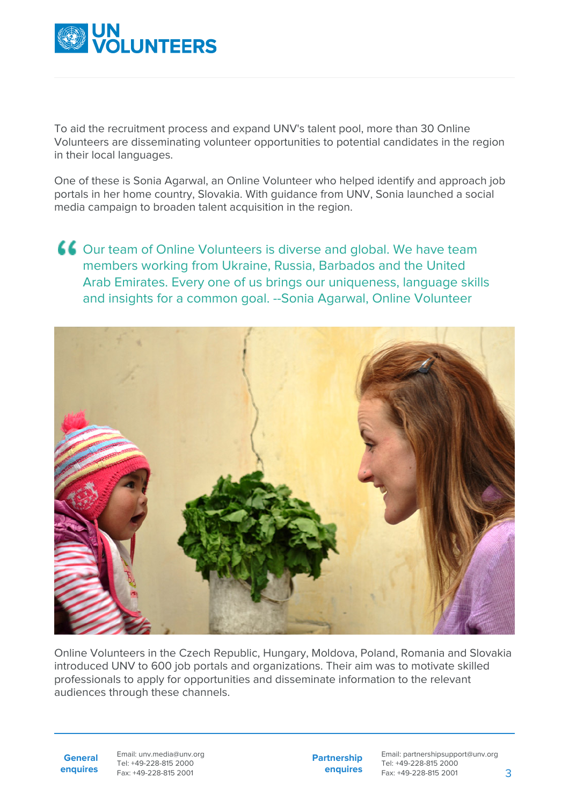

To aid the recruitment process and expand UNV's talent pool, more than 30 Online Volunteers are disseminating volunteer opportunities to potential candidates in the region in their local languages.

One of these is Sonia Agarwal, an Online Volunteer who helped identify and approach job portals in her home country, Slovakia. With guidance from UNV, Sonia launched a social media campaign to broaden talent acquisition in the region.

Our team of Online Volunteers is diverse and global. We have team members working from Ukraine, Russia, Barbados and the United Arab Emirates. Every one of us brings our uniqueness, language skills and insights for a common goal. --Sonia Agarwal, Online Volunteer



Online Volunteers in the Czech Republic, Hungary, Moldova, Poland, Romania and Slovakia introduced UNV to 600 job portals and organizations. Their aim was to motivate skilled professionals to apply for opportunities and disseminate information to the relevant audiences through these channels.

**General enquires** Email: unv.media@unv.org Tel: +49-228-815 2000 Fax: +49-228-815 2001

**Partnership enquires**